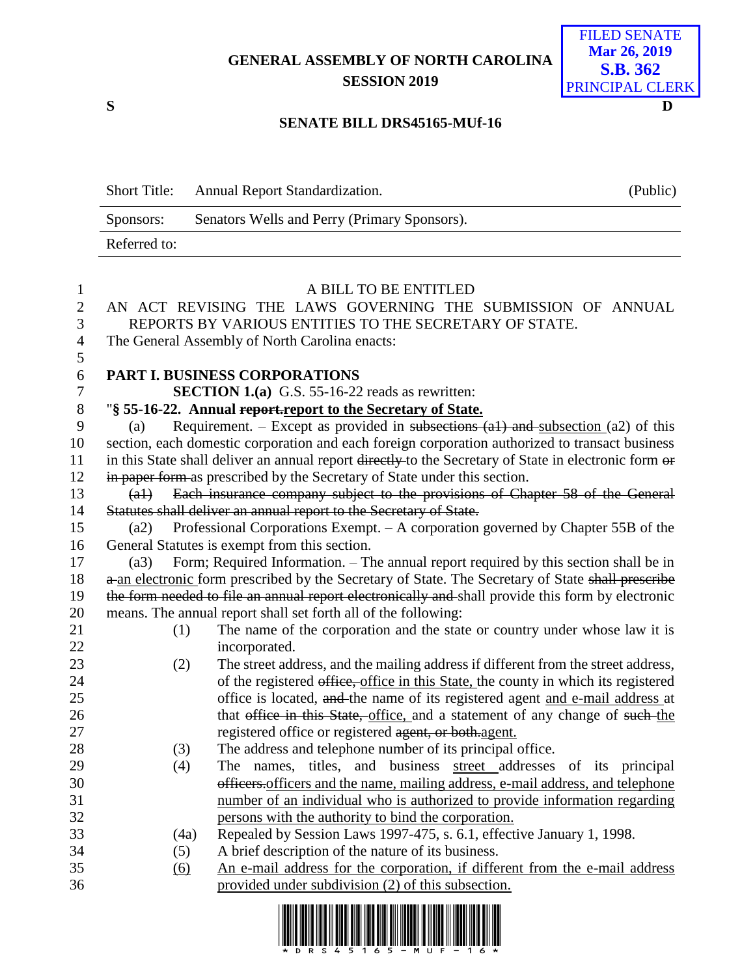## **GENERAL ASSEMBLY OF NORTH CAROLINA SESSION 2019**

FILED SENATE **Mar 26, 2019 S.B. 362** PRINCIPAL CLERK

#### **S D**

#### **SENATE BILL DRS45165-MUf-16**

| <b>Short Title:</b> | <b>Annual Report Standardization.</b>        | (Public) |
|---------------------|----------------------------------------------|----------|
| Sponsors:           | Senators Wells and Perry (Primary Sponsors). |          |
| Referred to:        |                                              |          |

| $\mathbf{1}$   |        | A BILL TO BE ENTITLED                                                                                 |
|----------------|--------|-------------------------------------------------------------------------------------------------------|
| $\overline{2}$ |        | AN ACT REVISING THE LAWS GOVERNING THE SUBMISSION OF ANNUAL                                           |
| 3              |        | REPORTS BY VARIOUS ENTITIES TO THE SECRETARY OF STATE.                                                |
| $\overline{4}$ |        | The General Assembly of North Carolina enacts:                                                        |
| 5              |        |                                                                                                       |
| 6              |        | PART I. BUSINESS CORPORATIONS                                                                         |
| $\tau$         |        | <b>SECTION 1.(a)</b> G.S. 55-16-22 reads as rewritten:                                                |
| $8\,$          |        | "§ 55-16-22. Annual report report to the Secretary of State.                                          |
| 9              | (a)    | Requirement. – Except as provided in subsections $(a1)$ and subsection $(a2)$ of this                 |
| 10             |        | section, each domestic corporation and each foreign corporation authorized to transact business       |
| 11             |        | in this State shall deliver an annual report directly to the Secretary of State in electronic form or |
| 12             |        | in paper form as prescribed by the Secretary of State under this section.                             |
| 13             | $(a+)$ | Each insurance company subject to the provisions of Chapter 58 of the General                         |
| 14             |        | Statutes shall deliver an annual report to the Secretary of State.                                    |
| 15             | (a2)   | Professional Corporations Exempt. $- A$ corporation governed by Chapter 55B of the                    |
| 16             |        | General Statutes is exempt from this section.                                                         |
| 17             | (a3)   | Form; Required Information. - The annual report required by this section shall be in                  |
| 18             |        | a an electronic form prescribed by the Secretary of State. The Secretary of State shall prescribe     |
| 19             |        | the form needed to file an annual report electronically and shall provide this form by electronic     |
| 20             |        | means. The annual report shall set forth all of the following:                                        |
| 21             | (1)    | The name of the corporation and the state or country under whose law it is                            |
| 22             |        | incorporated.                                                                                         |
| 23             | (2)    | The street address, and the mailing address if different from the street address,                     |
| 24             |        | of the registered office, office in this State, the county in which its registered                    |
| 25             |        | office is located, and the name of its registered agent and e-mail address at                         |
| 26             |        | that office in this State, office, and a statement of any change of such the                          |
| 27             |        | registered office or registered agent, or both.agent.                                                 |
| 28             | (3)    | The address and telephone number of its principal office.                                             |
| 29             | (4)    | The names, titles, and business street addresses of its principal                                     |
| 30             |        | officers.officers and the name, mailing address, e-mail address, and telephone                        |
| 31             |        | number of an individual who is authorized to provide information regarding                            |
| 32             |        | persons with the authority to bind the corporation.                                                   |
| 33             | (4a)   | Repealed by Session Laws 1997-475, s. 6.1, effective January 1, 1998.                                 |
| 34             | (5)    | A brief description of the nature of its business.                                                    |
| 35             | (6)    | An e-mail address for the corporation, if different from the e-mail address                           |
| 36             |        | provided under subdivision (2) of this subsection.                                                    |
|                |        |                                                                                                       |

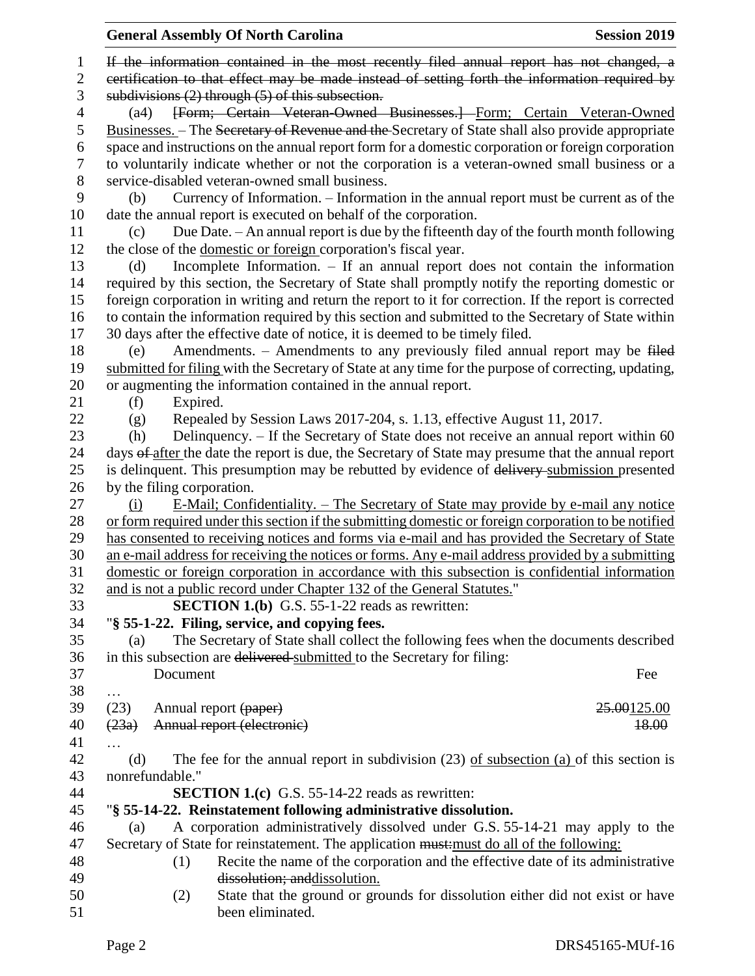|                | <b>General Assembly Of North Carolina</b><br><b>Session 2019</b>                                      |
|----------------|-------------------------------------------------------------------------------------------------------|
| 1              | If the information contained in the most recently filed annual report has not changed, a              |
| $\mathfrak{2}$ | certification to that effect may be made instead of setting forth the information required by         |
| 3              | subdivisions $(2)$ through $(5)$ of this subsection.                                                  |
| 4              | [Form; Certain Veteran-Owned Businesses.] Form; Certain Veteran-Owned<br>(a4)                         |
| 5              | Businesses. – The Secretary of Revenue and the Secretary of State shall also provide appropriate      |
| 6              | space and instructions on the annual report form for a domestic corporation or foreign corporation    |
| 7              | to voluntarily indicate whether or not the corporation is a veteran-owned small business or a         |
| 8              | service-disabled veteran-owned small business.                                                        |
| 9              | Currency of Information. - Information in the annual report must be current as of the<br>(b)          |
| 10             | date the annual report is executed on behalf of the corporation.                                      |
| 11             | Due Date. - An annual report is due by the fifteenth day of the fourth month following<br>(c)         |
| 12             | the close of the domestic or foreign corporation's fiscal year.                                       |
| 13             | Incomplete Information. $-$ If an annual report does not contain the information<br>(d)               |
| 14             | required by this section, the Secretary of State shall promptly notify the reporting domestic or      |
| 15             | foreign corporation in writing and return the report to it for correction. If the report is corrected |
| 16             | to contain the information required by this section and submitted to the Secretary of State within    |
| 17             | 30 days after the effective date of notice, it is deemed to be timely filed.                          |
| 18             | Amendments. – Amendments to any previously filed annual report may be filed<br>(e)                    |
| 19             | submitted for filing with the Secretary of State at any time for the purpose of correcting, updating, |
| 20             | or augmenting the information contained in the annual report.                                         |
| 21             | Expired.<br>(f)                                                                                       |
| 22             | Repealed by Session Laws 2017-204, s. 1.13, effective August 11, 2017.<br>(g)                         |
| 23             | Delinquency. – If the Secretary of State does not receive an annual report within 60<br>(h)           |
| 24             | days of after the date the report is due, the Secretary of State may presume that the annual report   |
| 25             | is delinquent. This presumption may be rebutted by evidence of delivery submission presented          |
| 26             | by the filing corporation.                                                                            |
| 27             | E-Mail; Confidentiality. – The Secretary of State may provide by e-mail any notice<br>(i)             |
| 28             | or form required under this section if the submitting domestic or foreign corporation to be notified  |
| 29             | has consented to receiving notices and forms via e-mail and has provided the Secretary of State       |
| 30             | an e-mail address for receiving the notices or forms. Any e-mail address provided by a submitting     |
| 31             | domestic or foreign corporation in accordance with this subsection is confidential information        |
| 32             | and is not a public record under Chapter 132 of the General Statutes."                                |
| 33             | <b>SECTION 1.(b)</b> G.S. 55-1-22 reads as rewritten:                                                 |
| 34             | "§ 55-1-22. Filing, service, and copying fees.                                                        |
| 35             | The Secretary of State shall collect the following fees when the documents described<br>(a)           |
| 36             | in this subsection are delivered submitted to the Secretary for filing:                               |
| 37             | Document<br>Fee                                                                                       |
| 38             | .                                                                                                     |
| 39             | (23)<br>25.00125.00<br>Annual report (paper)                                                          |
| 40             | (23a)<br>Annual report (electronic)<br>18.00                                                          |
| 41             |                                                                                                       |
| 42             | The fee for the annual report in subdivision $(23)$ of subsection $(a)$ of this section is<br>(d)     |
| 43             | nonrefundable."                                                                                       |
| 44             | <b>SECTION 1.(c)</b> G.S. 55-14-22 reads as rewritten:                                                |
| 45             | "§ 55-14-22. Reinstatement following administrative dissolution.                                      |
| 46             | A corporation administratively dissolved under G.S. 55-14-21 may apply to the<br>(a)                  |
| 47             | Secretary of State for reinstatement. The application must: must do all of the following:             |
| 48             | Recite the name of the corporation and the effective date of its administrative<br>(1)                |
| 49             | dissolution; and dissolution.                                                                         |
| 50             | State that the ground or grounds for dissolution either did not exist or have<br>(2)                  |
| 51             | been eliminated.                                                                                      |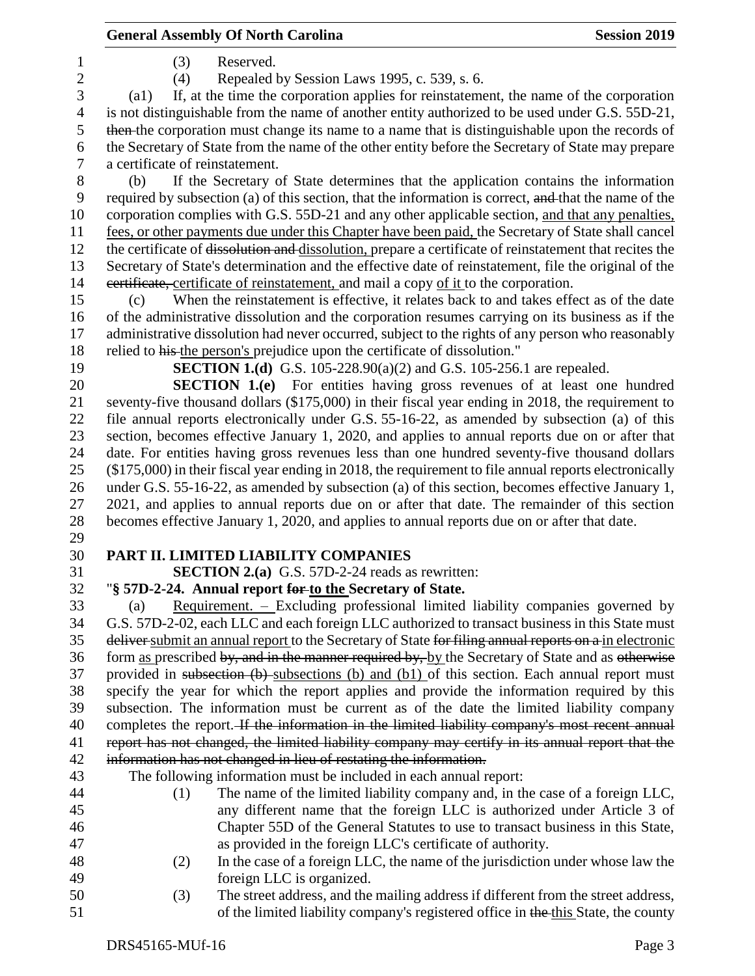### General Assembly Of North Carolina **Session 2019**

(3) Reserved.

(4) Repealed by Session Laws 1995, c. 539, s. 6.

 (a1) If, at the time the corporation applies for reinstatement, the name of the corporation is not distinguishable from the name of another entity authorized to be used under G.S. 55D-21, then the corporation must change its name to a name that is distinguishable upon the records of the Secretary of State from the name of the other entity before the Secretary of State may prepare a certificate of reinstatement.

 (b) If the Secretary of State determines that the application contains the information 9 required by subsection (a) of this section, that the information is correct, and that the name of the corporation complies with G.S. 55D-21 and any other applicable section, and that any penalties, fees, or other payments due under this Chapter have been paid, the Secretary of State shall cancel the certificate of dissolution and dissolution, prepare a certificate of reinstatement that recites the Secretary of State's determination and the effective date of reinstatement, file the original of the 14 eertificate, certificate of reinstatement, and mail a copy of it to the corporation.

 (c) When the reinstatement is effective, it relates back to and takes effect as of the date of the administrative dissolution and the corporation resumes carrying on its business as if the administrative dissolution had never occurred, subject to the rights of any person who reasonably relied to his the person's prejudice upon the certificate of dissolution."

**SECTION 1.(d)** G.S. 105-228.90(a)(2) and G.S. 105-256.1 are repealed.

 **SECTION 1.(e)** For entities having gross revenues of at least one hundred seventy-five thousand dollars (\$175,000) in their fiscal year ending in 2018, the requirement to file annual reports electronically under G.S. 55-16-22, as amended by subsection (a) of this section, becomes effective January 1, 2020, and applies to annual reports due on or after that date. For entities having gross revenues less than one hundred seventy-five thousand dollars (\$175,000) in their fiscal year ending in 2018, the requirement to file annual reports electronically under G.S. 55-16-22, as amended by subsection (a) of this section, becomes effective January 1, 2021, and applies to annual reports due on or after that date. The remainder of this section becomes effective January 1, 2020, and applies to annual reports due on or after that date.

## **PART II. LIMITED LIABILITY COMPANIES**

**SECTION 2.(a)** G.S. 57D-2-24 reads as rewritten:

# "**§ 57D-2-24. Annual report for to the Secretary of State.**

 (a) Requirement. – Excluding professional limited liability companies governed by G.S. 57D-2-02, each LLC and each foreign LLC authorized to transact business in this State must 35 deliver submit an annual report to the Secretary of State for filing annual reports on a in electronic 36 form as prescribed by, and in the manner required by, by the Secretary of State and as otherwise provided in subsection (b) subsections (b) and (b1) of this section. Each annual report must specify the year for which the report applies and provide the information required by this subsection. The information must be current as of the date the limited liability company 40 completes the report. If the information in the limited liability company's most recent annual 41 report has not changed, the limited liability company may certify in its annual report that the information has not changed in lieu of restating the information.

The following information must be included in each annual report:

- (1) The name of the limited liability company and, in the case of a foreign LLC, any different name that the foreign LLC is authorized under Article 3 of Chapter 55D of the General Statutes to use to transact business in this State, as provided in the foreign LLC's certificate of authority.
- (2) In the case of a foreign LLC, the name of the jurisdiction under whose law the foreign LLC is organized.
- (3) The street address, and the mailing address if different from the street address, 51 of the limited liability company's registered office in the this State, the county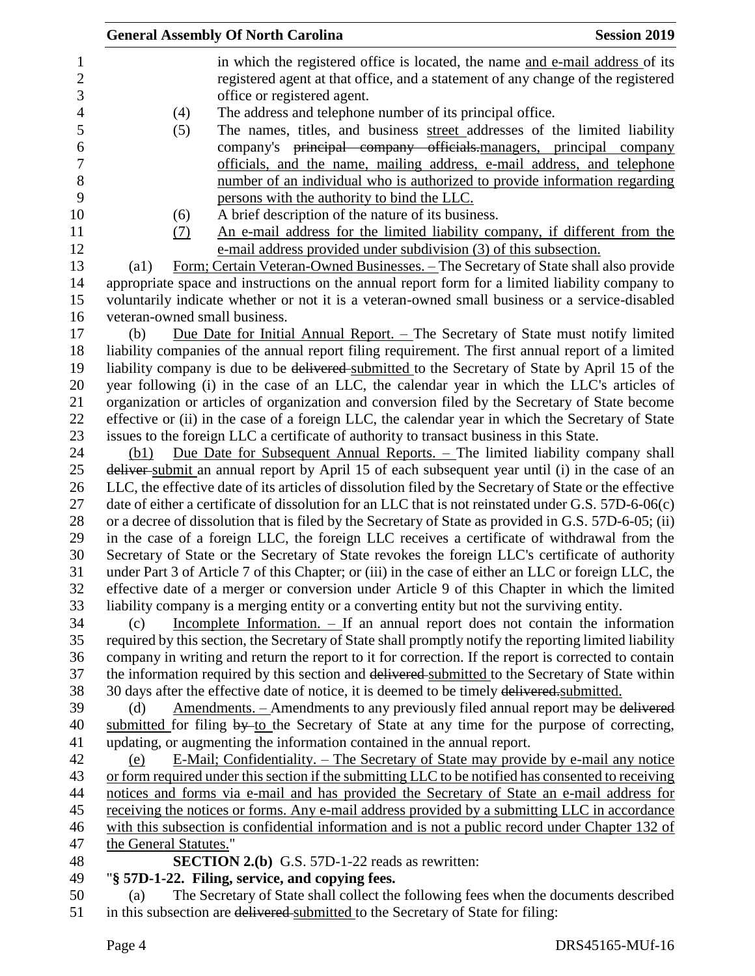| <b>Session 2019</b><br><b>General Assembly Of North Carolina</b>                                                 |
|------------------------------------------------------------------------------------------------------------------|
| in which the registered office is located, the name and e-mail address of its                                    |
| registered agent at that office, and a statement of any change of the registered                                 |
| office or registered agent.                                                                                      |
| The address and telephone number of its principal office.<br>(4)                                                 |
| The names, titles, and business street addresses of the limited liability<br>(5)                                 |
| company's principal company officials-managers, principal company                                                |
| officials, and the name, mailing address, e-mail address, and telephone                                          |
| number of an individual who is authorized to provide information regarding                                       |
| persons with the authority to bind the LLC.                                                                      |
| A brief description of the nature of its business.<br>(6)                                                        |
| An e-mail address for the limited liability company, if different from the<br>(7)                                |
| e-mail address provided under subdivision (3) of this subsection.                                                |
| <u>Form; Certain Veteran-Owned Businesses. – The Secretary of State shall also provide</u><br>$\left( a1\right)$ |
| appropriate space and instructions on the annual report form for a limited liability company to                  |
| voluntarily indicate whether or not it is a veteran-owned small business or a service-disabled                   |
| veteran-owned small business.                                                                                    |
| Due Date for Initial Annual Report. $-$ The Secretary of State must notify limited<br>(b)                        |
| liability companies of the annual report filing requirement. The first annual report of a limited                |
| liability company is due to be delivered submitted to the Secretary of State by April 15 of the                  |
| year following (i) in the case of an LLC, the calendar year in which the LLC's articles of                       |
| organization or articles of organization and conversion filed by the Secretary of State become                   |
| effective or (ii) in the case of a foreign LLC, the calendar year in which the Secretary of State                |
| issues to the foreign LLC a certificate of authority to transact business in this State.                         |
| Due Date for Subsequent Annual Reports. - The limited liability company shall<br>(b1)                            |
| deliver-submit an annual report by April 15 of each subsequent year until (i) in the case of an                  |
| LLC, the effective date of its articles of dissolution filed by the Secretary of State or the effective          |
| date of either a certificate of dissolution for an LLC that is not reinstated under G.S. $57D-6-06(c)$           |
| or a decree of dissolution that is filed by the Secretary of State as provided in G.S. 57D-6-05; (ii)            |
| in the case of a foreign LLC, the foreign LLC receives a certificate of withdrawal from the                      |
| Secretary of State or the Secretary of State revokes the foreign LLC's certificate of authority                  |
| under Part 3 of Article 7 of this Chapter; or (iii) in the case of either an LLC or foreign LLC, the             |
| effective date of a merger or conversion under Article 9 of this Chapter in which the limited                    |
| liability company is a merging entity or a converting entity but not the surviving entity.                       |
| Incomplete Information. $-$ If an annual report does not contain the information<br>(c)                          |
| required by this section, the Secretary of State shall promptly notify the reporting limited liability           |
| company in writing and return the report to it for correction. If the report is corrected to contain             |
| the information required by this section and delivered submitted to the Secretary of State within                |
| 30 days after the effective date of notice, it is deemed to be timely delivered submitted.                       |
| Amendments. – Amendments to any previously filed annual report may be delivered<br>(d)                           |
| submitted for filing $by$ -to the Secretary of State at any time for the purpose of correcting,                  |
| updating, or augmenting the information contained in the annual report.                                          |
| E-Mail; Confidentiality. – The Secretary of State may provide by e-mail any notice<br>(e)                        |
| or form required under this section if the submitting LLC to be notified has consented to receiving              |
| notices and forms via e-mail and has provided the Secretary of State an e-mail address for                       |
| receiving the notices or forms. Any e-mail address provided by a submitting LLC in accordance                    |
| with this subsection is confidential information and is not a public record under Chapter 132 of                 |
| the General Statutes."                                                                                           |
| <b>SECTION 2.(b)</b> G.S. 57D-1-22 reads as rewritten:                                                           |
| "§ 57D-1-22. Filing, service, and copying fees.                                                                  |
| The Secretary of State shall collect the following fees when the documents described<br>(a)                      |
| in this subsection are delivered submitted to the Secretary of State for filing:                                 |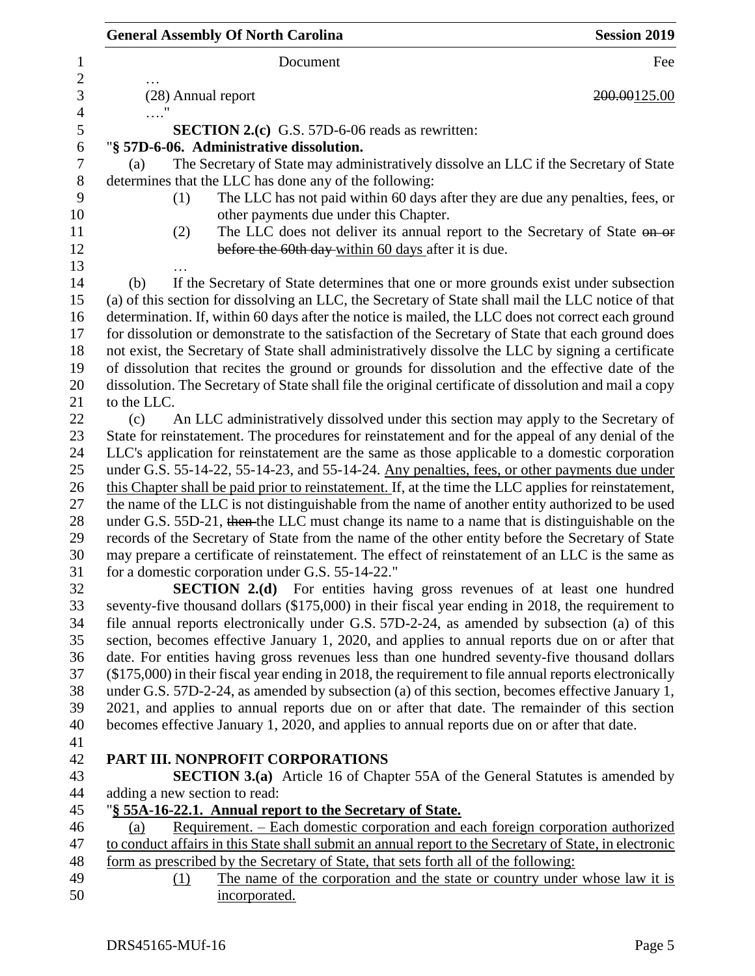| <b>General Assembly Of North Carolina</b>                                                                                                                                                                   | <b>Session 2019</b> |
|-------------------------------------------------------------------------------------------------------------------------------------------------------------------------------------------------------------|---------------------|
| Document                                                                                                                                                                                                    | Fee                 |
| (28) Annual report                                                                                                                                                                                          | 200.00125.00        |
| $\ldots$ "                                                                                                                                                                                                  |                     |
| <b>SECTION 2.(c)</b> G.S. 57D-6-06 reads as rewritten:<br>"§ 57D-6-06. Administrative dissolution.                                                                                                          |                     |
| The Secretary of State may administratively dissolve an LLC if the Secretary of State<br>(a)                                                                                                                |                     |
| determines that the LLC has done any of the following:                                                                                                                                                      |                     |
| The LLC has not paid within 60 days after they are due any penalties, fees, or<br>(1)                                                                                                                       |                     |
| other payments due under this Chapter.                                                                                                                                                                      |                     |
| The LLC does not deliver its annual report to the Secretary of State on or<br>(2)                                                                                                                           |                     |
| before the 60th day-within 60 days after it is due.                                                                                                                                                         |                     |
|                                                                                                                                                                                                             |                     |
| If the Secretary of State determines that one or more grounds exist under subsection<br>(b)                                                                                                                 |                     |
| (a) of this section for dissolving an LLC, the Secretary of State shall mail the LLC notice of that                                                                                                         |                     |
| determination. If, within 60 days after the notice is mailed, the LLC does not correct each ground                                                                                                          |                     |
| for dissolution or demonstrate to the satisfaction of the Secretary of State that each ground does                                                                                                          |                     |
| not exist, the Secretary of State shall administratively dissolve the LLC by signing a certificate                                                                                                          |                     |
| of dissolution that recites the ground or grounds for dissolution and the effective date of the                                                                                                             |                     |
| dissolution. The Secretary of State shall file the original certificate of dissolution and mail a copy                                                                                                      |                     |
| to the LLC.                                                                                                                                                                                                 |                     |
| An LLC administratively dissolved under this section may apply to the Secretary of<br>(c)                                                                                                                   |                     |
| State for reinstatement. The procedures for reinstatement and for the appeal of any denial of the                                                                                                           |                     |
| LLC's application for reinstatement are the same as those applicable to a domestic corporation                                                                                                              |                     |
| under G.S. 55-14-22, 55-14-23, and 55-14-24. Any penalties, fees, or other payments due under                                                                                                               |                     |
| this Chapter shall be paid prior to reinstatement. If, at the time the LLC applies for reinstatement,                                                                                                       |                     |
| the name of the LLC is not distinguishable from the name of another entity authorized to be used                                                                                                            |                     |
| under G.S. 55D-21, then the LLC must change its name to a name that is distinguishable on the                                                                                                               |                     |
| records of the Secretary of State from the name of the other entity before the Secretary of State                                                                                                           |                     |
| may prepare a certificate of reinstatement. The effect of reinstatement of an LLC is the same as                                                                                                            |                     |
| for a domestic corporation under G.S. 55-14-22."                                                                                                                                                            |                     |
| SECTION 2.(d) For entities having gross revenues of at least one hundred                                                                                                                                    |                     |
| seventy-five thousand dollars (\$175,000) in their fiscal year ending in 2018, the requirement to                                                                                                           |                     |
| file annual reports electronically under G.S. 57D-2-24, as amended by subsection (a) of this                                                                                                                |                     |
| section, becomes effective January 1, 2020, and applies to annual reports due on or after that                                                                                                              |                     |
| date. For entities having gross revenues less than one hundred seventy-five thousand dollars                                                                                                                |                     |
| $(\$175,000)$ in their fiscal year ending in 2018, the requirement to file annual reports electronically<br>under G.S. 57D-2-24, as amended by subsection (a) of this section, becomes effective January 1, |                     |
| 2021, and applies to annual reports due on or after that date. The remainder of this section                                                                                                                |                     |
| becomes effective January 1, 2020, and applies to annual reports due on or after that date.                                                                                                                 |                     |
|                                                                                                                                                                                                             |                     |
| PART III. NONPROFIT CORPORATIONS                                                                                                                                                                            |                     |
| <b>SECTION 3.(a)</b> Article 16 of Chapter 55A of the General Statutes is amended by                                                                                                                        |                     |
| adding a new section to read:                                                                                                                                                                               |                     |
| "§ 55A-16-22.1. Annual report to the Secretary of State.                                                                                                                                                    |                     |
| Requirement. – Each domestic corporation and each foreign corporation authorized<br>(a)                                                                                                                     |                     |
| to conduct affairs in this State shall submit an annual report to the Secretary of State, in electronic                                                                                                     |                     |
| form as prescribed by the Secretary of State, that sets forth all of the following:                                                                                                                         |                     |
| The name of the corporation and the state or country under whose law it is<br>(1)                                                                                                                           |                     |
| incorporated.                                                                                                                                                                                               |                     |
|                                                                                                                                                                                                             |                     |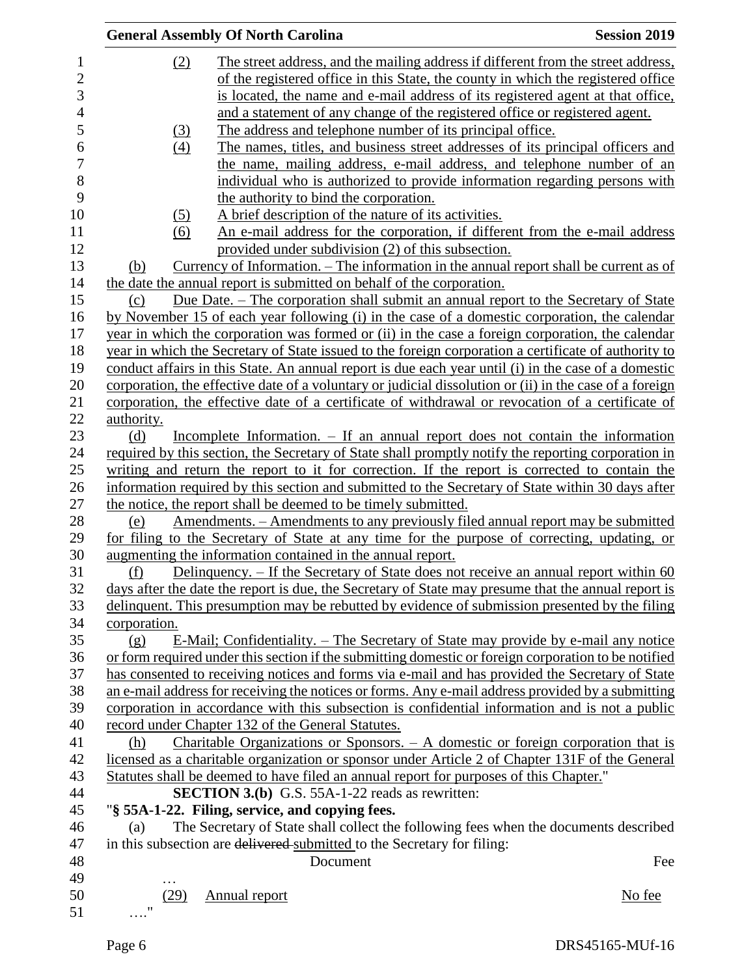|                |                        | <b>General Assembly Of North Carolina</b>                                                               | <b>Session 2019</b> |
|----------------|------------------------|---------------------------------------------------------------------------------------------------------|---------------------|
| $\mathbf{1}$   | (2)                    | The street address, and the mailing address if different from the street address,                       |                     |
| $\overline{c}$ |                        | of the registered office in this State, the county in which the registered office                       |                     |
| 3              |                        | is located, the name and e-mail address of its registered agent at that office,                         |                     |
| $\overline{4}$ |                        | and a statement of any change of the registered office or registered agent.                             |                     |
| 5              | <u>(3)</u>             | The address and telephone number of its principal office.                                               |                     |
| 6              | (4)                    | The names, titles, and business street addresses of its principal officers and                          |                     |
| $\overline{7}$ |                        | the name, mailing address, e-mail address, and telephone number of an                                   |                     |
| 8              |                        | individual who is authorized to provide information regarding persons with                              |                     |
| 9              |                        | the authority to bind the corporation.                                                                  |                     |
| 10             | (5)                    | A brief description of the nature of its activities.                                                    |                     |
| 11             | (6)                    | An e-mail address for the corporation, if different from the e-mail address                             |                     |
| 12             |                        | provided under subdivision (2) of this subsection.                                                      |                     |
| 13             | (b)                    | <u>Currency of Information. – The information in the annual report shall be current as of</u>           |                     |
| 14             |                        | the date the annual report is submitted on behalf of the corporation.                                   |                     |
| 15             | (c)                    | Due Date. – The corporation shall submit an annual report to the Secretary of State                     |                     |
| 16             |                        | by November 15 of each year following (i) in the case of a domestic corporation, the calendar           |                     |
| 17             |                        |                                                                                                         |                     |
|                |                        | year in which the corporation was formed or (ii) in the case a foreign corporation, the calendar        |                     |
| 18             |                        | year in which the Secretary of State issued to the foreign corporation a certificate of authority to    |                     |
| 19             |                        | conduct affairs in this State. An annual report is due each year until (i) in the case of a domestic    |                     |
| 20             |                        | corporation, the effective date of a voluntary or judicial dissolution or (ii) in the case of a foreign |                     |
| 21             |                        | corporation, the effective date of a certificate of withdrawal or revocation of a certificate of        |                     |
| 22             | authority.             |                                                                                                         |                     |
| 23             | (d)                    | Incomplete Information. – If an annual report does not contain the information                          |                     |
| 24             |                        | required by this section, the Secretary of State shall promptly notify the reporting corporation in     |                     |
| 25             |                        | writing and return the report to it for correction. If the report is corrected to contain the           |                     |
| 26             |                        | information required by this section and submitted to the Secretary of State within 30 days after       |                     |
| 27             |                        | the notice, the report shall be deemed to be timely submitted.                                          |                     |
| 28             | (e)                    | <u>Amendments. – Amendments to any previously filed annual report may be submitted</u>                  |                     |
| 29             |                        | for filing to the Secretary of State at any time for the purpose of correcting, updating, or            |                     |
| 30             |                        | augmenting the information contained in the annual report.                                              |                     |
| 31             | (f)                    | <u>Delinquency. – If the Secretary of State does not receive an annual report within 60</u>             |                     |
| 32             |                        | days after the date the report is due, the Secretary of State may presume that the annual report is     |                     |
| 33             |                        | delinquent. This presumption may be rebutted by evidence of submission presented by the filing          |                     |
| 34             | corporation.           |                                                                                                         |                     |
| 35             | (g)                    | E-Mail; Confidentiality. – The Secretary of State may provide by e-mail any notice                      |                     |
| 36             |                        | or form required under this section if the submitting domestic or foreign corporation to be notified    |                     |
| 37             |                        | has consented to receiving notices and forms via e-mail and has provided the Secretary of State         |                     |
| 38             |                        | an e-mail address for receiving the notices or forms. Any e-mail address provided by a submitting       |                     |
| 39             |                        | corporation in accordance with this subsection is confidential information and is not a public          |                     |
| 40             |                        | record under Chapter 132 of the General Statutes.                                                       |                     |
| 41             | (h)                    | <u>Charitable Organizations or Sponsors. <math>- A</math> domestic or foreign corporation that is</u>   |                     |
| 42             |                        | licensed as a charitable organization or sponsor under Article 2 of Chapter 131F of the General         |                     |
| 43             |                        | Statutes shall be deemed to have filed an annual report for purposes of this Chapter."                  |                     |
| 44             |                        | <b>SECTION 3.(b)</b> G.S. 55A-1-22 reads as rewritten:                                                  |                     |
| 45             |                        | "§ 55A-1-22. Filing, service, and copying fees.                                                         |                     |
| 46             | (a)                    | The Secretary of State shall collect the following fees when the documents described                    |                     |
| 47             |                        | in this subsection are delivered submitted to the Secretary for filing:                                 |                     |
| 48             |                        | Document                                                                                                | Fee                 |
| 49             |                        |                                                                                                         |                     |
| 50             | (29)                   | <b>Annual report</b>                                                                                    | No fee              |
| 51             | $^{\prime\prime}$<br>. |                                                                                                         |                     |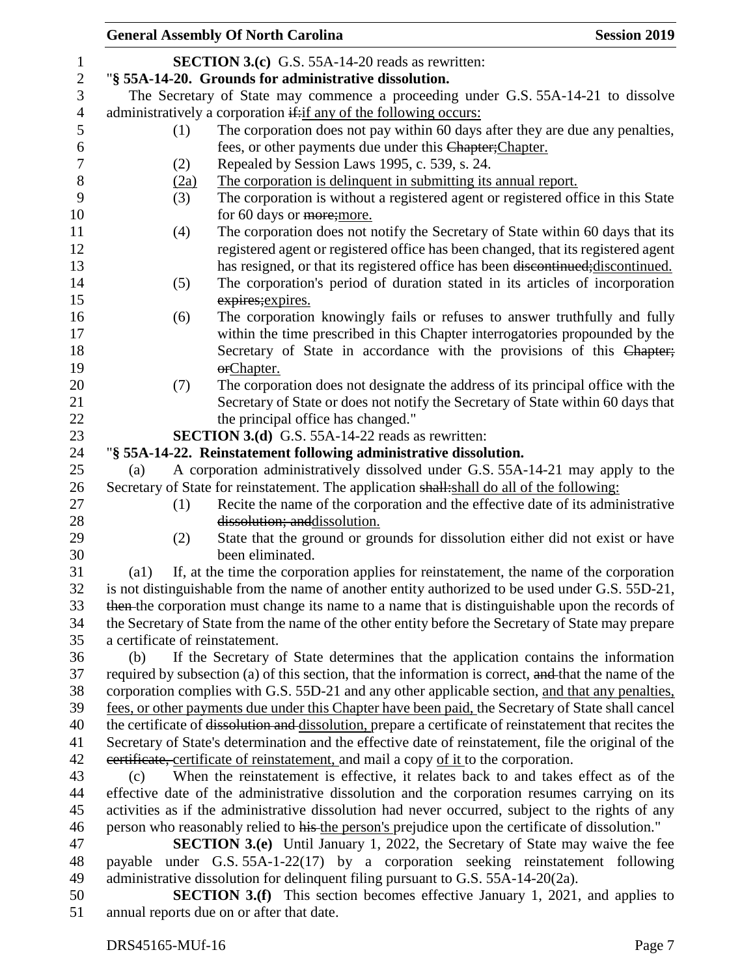|                  |                                 | <b>General Assembly Of North Carolina</b>                                                               | <b>Session 2019</b> |
|------------------|---------------------------------|---------------------------------------------------------------------------------------------------------|---------------------|
| $\mathbf{1}$     |                                 | <b>SECTION 3.(c)</b> G.S. 55A-14-20 reads as rewritten:                                                 |                     |
| $\sqrt{2}$       |                                 | "§ 55A-14-20. Grounds for administrative dissolution.                                                   |                     |
| 3                |                                 | The Secretary of State may commence a proceeding under G.S. 55A-14-21 to dissolve                       |                     |
| $\overline{4}$   |                                 | administratively a corporation if: if any of the following occurs:                                      |                     |
| 5                | (1)                             | The corporation does not pay within 60 days after they are due any penalties,                           |                     |
| 6                |                                 | fees, or other payments due under this Chapter; Chapter.                                                |                     |
| $\boldsymbol{7}$ | (2)                             | Repealed by Session Laws 1995, c. 539, s. 24.                                                           |                     |
| $8\,$            | (2a)                            | The corporation is delinquent in submitting its annual report.                                          |                     |
| 9                | (3)                             | The corporation is without a registered agent or registered office in this State                        |                     |
| 10               |                                 | for 60 days or more; more.                                                                              |                     |
| 11               | (4)                             | The corporation does not notify the Secretary of State within 60 days that its                          |                     |
| 12               |                                 | registered agent or registered office has been changed, that its registered agent                       |                     |
| 13               |                                 | has resigned, or that its registered office has been discontinued; discontinued.                        |                     |
| 14               | (5)                             | The corporation's period of duration stated in its articles of incorporation                            |                     |
| 15               |                                 | expires; expires.                                                                                       |                     |
| 16               | (6)                             | The corporation knowingly fails or refuses to answer truthfully and fully                               |                     |
| 17               |                                 | within the time prescribed in this Chapter interrogatories propounded by the                            |                     |
| 18               |                                 | Secretary of State in accordance with the provisions of this Chapter;                                   |                     |
| 19               |                                 | orChapter.                                                                                              |                     |
| 20               | (7)                             | The corporation does not designate the address of its principal office with the                         |                     |
| 21               |                                 | Secretary of State or does not notify the Secretary of State within 60 days that                        |                     |
| 22               |                                 | the principal office has changed."                                                                      |                     |
| 23               |                                 | <b>SECTION 3.(d)</b> G.S. 55A-14-22 reads as rewritten:                                                 |                     |
| 24               |                                 | "§ 55A-14-22. Reinstatement following administrative dissolution.                                       |                     |
| 25               | (a)                             | A corporation administratively dissolved under G.S. 55A-14-21 may apply to the                          |                     |
| 26               |                                 | Secretary of State for reinstatement. The application shall: shall do all of the following:             |                     |
| 27               | (1)                             | Recite the name of the corporation and the effective date of its administrative                         |                     |
| 28               |                                 | dissolution; and dissolution.                                                                           |                     |
| 29               | (2)                             | State that the ground or grounds for dissolution either did not exist or have                           |                     |
| 30               |                                 | been eliminated.                                                                                        |                     |
| 31               | (a1)                            | If, at the time the corporation applies for reinstatement, the name of the corporation                  |                     |
| 32               |                                 | is not distinguishable from the name of another entity authorized to be used under G.S. 55D-21,         |                     |
| 33               |                                 | then the corporation must change its name to a name that is distinguishable upon the records of         |                     |
| 34               |                                 | the Secretary of State from the name of the other entity before the Secretary of State may prepare      |                     |
| 35               | a certificate of reinstatement. |                                                                                                         |                     |
| 36               | (b)                             | If the Secretary of State determines that the application contains the information                      |                     |
| 37               |                                 | required by subsection (a) of this section, that the information is correct, and that the name of the   |                     |
| 38               |                                 | corporation complies with G.S. 55D-21 and any other applicable section, and that any penalties,         |                     |
| 39               |                                 | fees, or other payments due under this Chapter have been paid, the Secretary of State shall cancel      |                     |
| 40               |                                 | the certificate of dissolution and dissolution, prepare a certificate of reinstatement that recites the |                     |
| 41               |                                 | Secretary of State's determination and the effective date of reinstatement, file the original of the    |                     |
| 42               |                                 | eertificate, certificate of reinstatement, and mail a copy of it to the corporation.                    |                     |
| 43               | (c)                             | When the reinstatement is effective, it relates back to and takes effect as of the                      |                     |
| 44               |                                 | effective date of the administrative dissolution and the corporation resumes carrying on its            |                     |
| 45               |                                 | activities as if the administrative dissolution had never occurred, subject to the rights of any        |                     |
| 46               |                                 | person who reasonably relied to his the person's prejudice upon the certificate of dissolution."        |                     |
| 47               |                                 | <b>SECTION 3.(e)</b> Until January 1, 2022, the Secretary of State may waive the fee                    |                     |
| 48               |                                 | payable under G.S. 55A-1-22(17) by a corporation seeking reinstatement following                        |                     |
| 49               |                                 | administrative dissolution for delinquent filing pursuant to G.S. 55A-14-20(2a).                        |                     |
| 50               |                                 | <b>SECTION 3.(f)</b> This section becomes effective January 1, 2021, and applies to                     |                     |
| 51               |                                 | annual reports due on or after that date.                                                               |                     |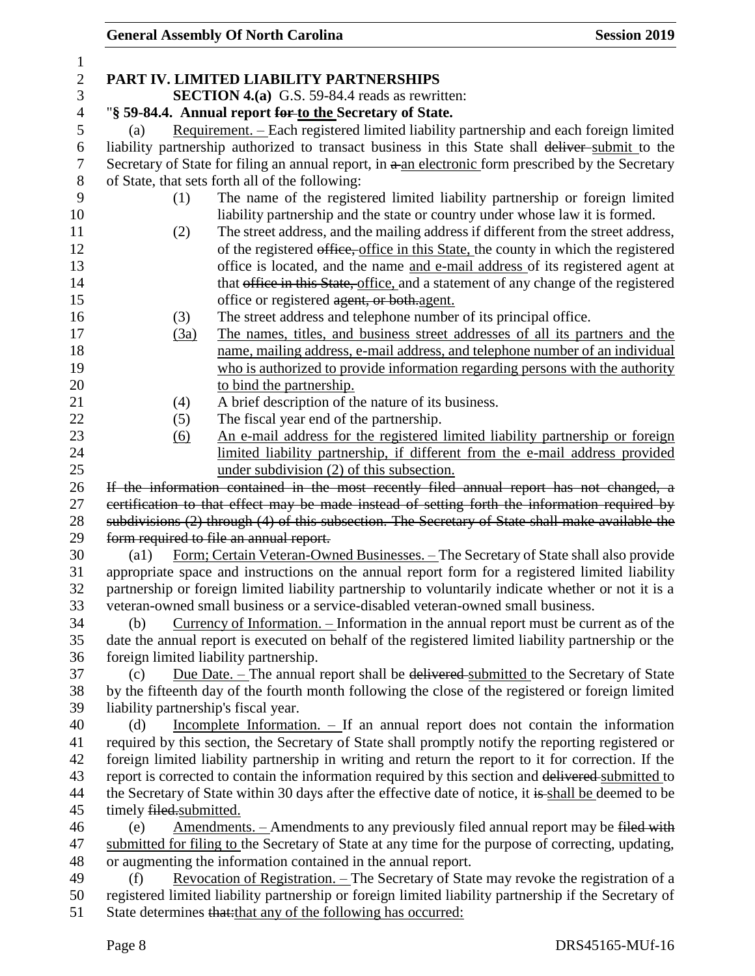| $\mathbf{1}$   |                                                                                                                                  |
|----------------|----------------------------------------------------------------------------------------------------------------------------------|
| $\mathbf{2}$   | PART IV. LIMITED LIABILITY PARTNERSHIPS                                                                                          |
| 3              | <b>SECTION 4.(a)</b> G.S. 59-84.4 reads as rewritten:                                                                            |
| $\overline{4}$ | "§ 59-84.4. Annual report for to the Secretary of State.                                                                         |
| 5              | Requirement. – Each registered limited liability partnership and each foreign limited<br>(a)                                     |
| 6              | liability partnership authorized to transact business in this State shall deliver-submit to the                                  |
| 7              | Secretary of State for filing an annual report, in a-an electronic form prescribed by the Secretary                              |
| $8\phantom{1}$ | of State, that sets forth all of the following:                                                                                  |
| 9              | The name of the registered limited liability partnership or foreign limited<br>(1)                                               |
| 10             | liability partnership and the state or country under whose law it is formed.                                                     |
| 11             | The street address, and the mailing address if different from the street address,<br>(2)                                         |
| 12             | of the registered office, office in this State, the county in which the registered                                               |
| 13             | office is located, and the name and e-mail address of its registered agent at                                                    |
| 14             | that office in this State, office, and a statement of any change of the registered                                               |
| 15             | office or registered agent, or both agent.                                                                                       |
| 16             | The street address and telephone number of its principal office.<br>(3)                                                          |
| 17             | The names, titles, and business street addresses of all its partners and the<br>(3a)                                             |
| 18             | name, mailing address, e-mail address, and telephone number of an individual                                                     |
| 19<br>20       | who is authorized to provide information regarding persons with the authority                                                    |
| 21             | to bind the partnership.<br>A brief description of the nature of its business.<br>(4)                                            |
| 22             | The fiscal year end of the partnership.<br>(5)                                                                                   |
| 23             | An e-mail address for the registered limited liability partnership or foreign<br>(6)                                             |
| 24             | limited liability partnership, if different from the e-mail address provided                                                     |
| 25             | under subdivision (2) of this subsection.                                                                                        |
| 26             | If the information contained in the most recently filed annual report has not changed, a                                         |
| 27             | certification to that effect may be made instead of setting forth the information required by                                    |
| 28             | subdivisions (2) through (4) of this subsection. The Secretary of State shall make available the                                 |
| 29             | form required to file an annual report.                                                                                          |
| 30             | Form; Certain Veteran-Owned Businesses. - The Secretary of State shall also provide<br>$\left( a1\right)$                        |
| 31             | appropriate space and instructions on the annual report form for a registered limited liability                                  |
| 32             | partnership or foreign limited liability partnership to voluntarily indicate whether or not it is a                              |
| 33             | veteran-owned small business or a service-disabled veteran-owned small business.                                                 |
| 34             | Currency of Information. - Information in the annual report must be current as of the<br>(b)                                     |
| 35             | date the annual report is executed on behalf of the registered limited liability partnership or the                              |
| 36             | foreign limited liability partnership.                                                                                           |
| 37             | Due Date. - The annual report shall be delivered submitted to the Secretary of State<br>(c)                                      |
| 38             | by the fifteenth day of the fourth month following the close of the registered or foreign limited                                |
| 39             | liability partnership's fiscal year.                                                                                             |
| 40             | Incomplete Information. $\overline{\phantom{a}}$ If an annual report does not contain the information<br>(d)                     |
| 41             | required by this section, the Secretary of State shall promptly notify the reporting registered or                               |
| 42             | foreign limited liability partnership in writing and return the report to it for correction. If the                              |
| 43             | report is corrected to contain the information required by this section and delivered submitted to                               |
| 44<br>45       | the Secretary of State within 30 days after the effective date of notice, it is shall be deemed to be<br>timely filed.submitted. |
| 46             | <u>Amendments.</u> – Amendments to any previously filed annual report may be filed with<br>(e)                                   |
| 47             | submitted for filing to the Secretary of State at any time for the purpose of correcting, updating,                              |
| 48             | or augmenting the information contained in the annual report.                                                                    |
| 49             | <u>Revocation of Registration. – The Secretary of State may revoke the registration of a</u><br>(f)                              |
| 50             | registered limited liability partnership or foreign limited liability partnership if the Secretary of                            |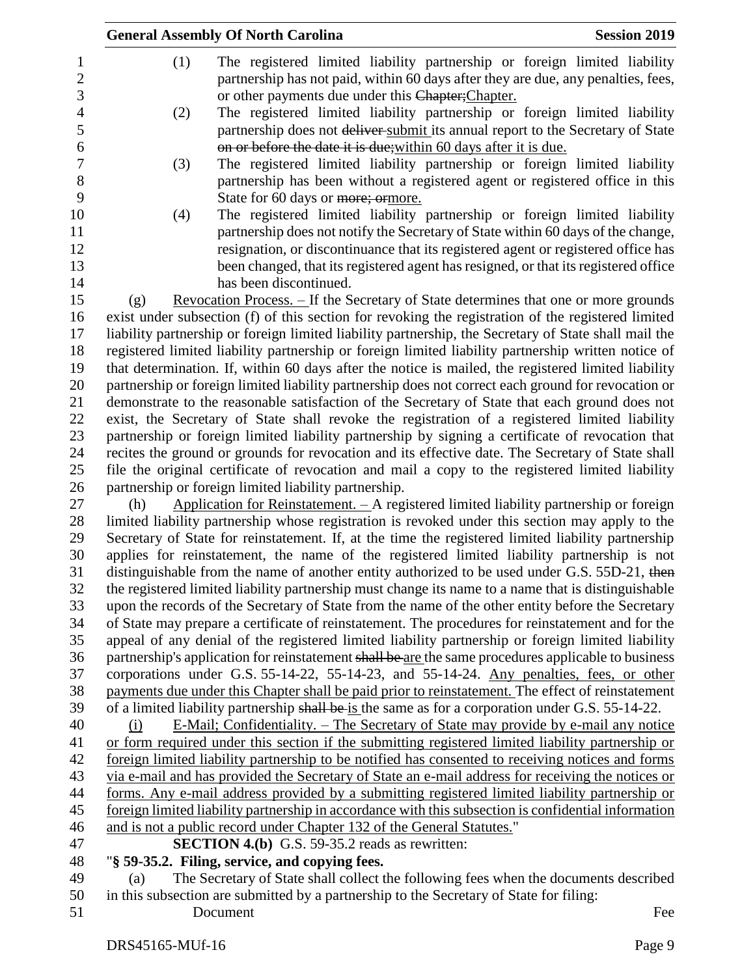|                |     | <b>General Assembly Of North Carolina</b><br><b>Session 2019</b>                                                                                                                                |     |
|----------------|-----|-------------------------------------------------------------------------------------------------------------------------------------------------------------------------------------------------|-----|
| 1              | (1) | The registered limited liability partnership or foreign limited liability                                                                                                                       |     |
| $\mathbf{2}$   |     | partnership has not paid, within 60 days after they are due, any penalties, fees,                                                                                                               |     |
| 3              |     | or other payments due under this Chapter; Chapter.                                                                                                                                              |     |
| $\overline{4}$ | (2) | The registered limited liability partnership or foreign limited liability                                                                                                                       |     |
| 5              |     | partnership does not deliver-submit its annual report to the Secretary of State                                                                                                                 |     |
| 6              |     | on or before the date it is due; within 60 days after it is due.                                                                                                                                |     |
| 7              | (3) | The registered limited liability partnership or foreign limited liability                                                                                                                       |     |
| $8\,$          |     | partnership has been without a registered agent or registered office in this                                                                                                                    |     |
| 9              |     | State for 60 days or more; ormore.                                                                                                                                                              |     |
| 10             | (4) | The registered limited liability partnership or foreign limited liability                                                                                                                       |     |
| 11             |     | partnership does not notify the Secretary of State within 60 days of the change,                                                                                                                |     |
| 12             |     | resignation, or discontinuance that its registered agent or registered office has                                                                                                               |     |
| 13             |     | been changed, that its registered agent has resigned, or that its registered office                                                                                                             |     |
| 14             |     | has been discontinued.                                                                                                                                                                          |     |
| 15             | (g) | <u>Revocation Process. - If the Secretary of State determines that one or more grounds</u>                                                                                                      |     |
| 16             |     | exist under subsection (f) of this section for revoking the registration of the registered limited                                                                                              |     |
| 17             |     | liability partnership or foreign limited liability partnership, the Secretary of State shall mail the                                                                                           |     |
| 18             |     | registered limited liability partnership or foreign limited liability partnership written notice of                                                                                             |     |
| 19             |     | that determination. If, within 60 days after the notice is mailed, the registered limited liability                                                                                             |     |
| 20             |     | partnership or foreign limited liability partnership does not correct each ground for revocation or                                                                                             |     |
| 21             |     | demonstrate to the reasonable satisfaction of the Secretary of State that each ground does not<br>exist, the Secretary of State shall revoke the registration of a registered limited liability |     |
| 22<br>23       |     | partnership or foreign limited liability partnership by signing a certificate of revocation that                                                                                                |     |
| 24             |     | recites the ground or grounds for revocation and its effective date. The Secretary of State shall                                                                                               |     |
| 25             |     | file the original certificate of revocation and mail a copy to the registered limited liability                                                                                                 |     |
| 26             |     | partnership or foreign limited liability partnership.                                                                                                                                           |     |
| 27             | (h) | Application for Reinstatement. - A registered limited liability partnership or foreign                                                                                                          |     |
| 28             |     | limited liability partnership whose registration is revoked under this section may apply to the                                                                                                 |     |
| 29             |     | Secretary of State for reinstatement. If, at the time the registered limited liability partnership                                                                                              |     |
| 30             |     | applies for reinstatement, the name of the registered limited liability partnership is not                                                                                                      |     |
| 31             |     | distinguishable from the name of another entity authorized to be used under G.S. 55D-21, then                                                                                                   |     |
| 32             |     | the registered limited liability partnership must change its name to a name that is distinguishable                                                                                             |     |
| 33             |     | upon the records of the Secretary of State from the name of the other entity before the Secretary                                                                                               |     |
| 34             |     | of State may prepare a certificate of reinstatement. The procedures for reinstatement and for the                                                                                               |     |
| 35             |     | appeal of any denial of the registered limited liability partnership or foreign limited liability                                                                                               |     |
| 36             |     | partnership's application for reinstatement shall be are the same procedures applicable to business                                                                                             |     |
| 37             |     | corporations under G.S. 55-14-22, 55-14-23, and 55-14-24. Any penalties, fees, or other                                                                                                         |     |
| 38             |     | payments due under this Chapter shall be paid prior to reinstatement. The effect of reinstatement                                                                                               |     |
| 39             |     | of a limited liability partnership shall be is the same as for a corporation under G.S. 55-14-22.                                                                                               |     |
| 40<br>41       | (i) | E-Mail; Confidentiality. – The Secretary of State may provide by e-mail any notice<br>or form required under this section if the submitting registered limited liability partnership or         |     |
| 42             |     | foreign limited liability partnership to be notified has consented to receiving notices and forms                                                                                               |     |
| 43             |     | via e-mail and has provided the Secretary of State an e-mail address for receiving the notices or                                                                                               |     |
| 44             |     | forms. Any e-mail address provided by a submitting registered limited liability partnership or                                                                                                  |     |
| 45             |     | foreign limited liability partnership in accordance with this subsection is confidential information                                                                                            |     |
| 46             |     | and is not a public record under Chapter 132 of the General Statutes."                                                                                                                          |     |
| 47             |     | <b>SECTION 4.(b)</b> G.S. 59-35.2 reads as rewritten:                                                                                                                                           |     |
| 48             |     | "§ 59-35.2. Filing, service, and copying fees.                                                                                                                                                  |     |
| 49             | (a) | The Secretary of State shall collect the following fees when the documents described                                                                                                            |     |
| 50             |     | in this subsection are submitted by a partnership to the Secretary of State for filing:                                                                                                         |     |
| 51             |     | Document                                                                                                                                                                                        | Fee |
|                |     |                                                                                                                                                                                                 |     |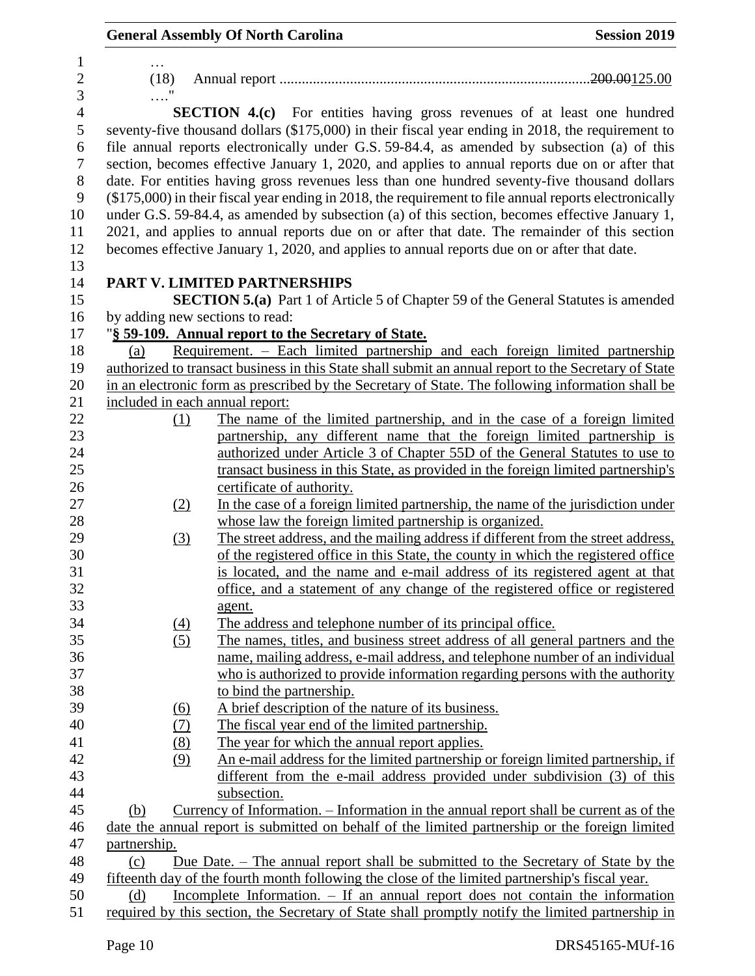|                          |                         | <b>General Assembly Of North Carolina</b>                                                                                                                                                                | <b>Session 2019</b> |
|--------------------------|-------------------------|----------------------------------------------------------------------------------------------------------------------------------------------------------------------------------------------------------|---------------------|
| 1<br>$\sqrt{2}$<br>3     | $\cdots$<br>(18)<br>. ' |                                                                                                                                                                                                          |                     |
| $\overline{4}$<br>5<br>6 |                         | <b>SECTION 4.(c)</b> For entities having gross revenues of at least one hundred<br>seventy-five thousand dollars (\$175,000) in their fiscal year ending in 2018, the requirement to                     |                     |
| $\tau$                   |                         | file annual reports electronically under G.S. 59-84.4, as amended by subsection (a) of this<br>section, becomes effective January 1, 2020, and applies to annual reports due on or after that            |                     |
| 8<br>9                   |                         | date. For entities having gross revenues less than one hundred seventy-five thousand dollars<br>$(\$175,000)$ in their fiscal year ending in 2018, the requirement to file annual reports electronically |                     |
| 10                       |                         | under G.S. 59-84.4, as amended by subsection (a) of this section, becomes effective January 1,                                                                                                           |                     |
| 11                       |                         | 2021, and applies to annual reports due on or after that date. The remainder of this section                                                                                                             |                     |
| 12                       |                         | becomes effective January 1, 2020, and applies to annual reports due on or after that date.                                                                                                              |                     |
| 13                       |                         |                                                                                                                                                                                                          |                     |
| 14                       |                         | PART V. LIMITED PARTNERSHIPS                                                                                                                                                                             |                     |
| 15                       |                         | <b>SECTION 5.(a)</b> Part 1 of Article 5 of Chapter 59 of the General Statutes is amended                                                                                                                |                     |
| 16                       |                         | by adding new sections to read:                                                                                                                                                                          |                     |
| 17                       |                         | "§ 59-109. Annual report to the Secretary of State.                                                                                                                                                      |                     |
| 18                       | (a)                     | Requirement. - Each limited partnership and each foreign limited partnership                                                                                                                             |                     |
| 19                       |                         | authorized to transact business in this State shall submit an annual report to the Secretary of State                                                                                                    |                     |
| 20                       |                         | in an electronic form as prescribed by the Secretary of State. The following information shall be                                                                                                        |                     |
| 21                       |                         | included in each annual report:                                                                                                                                                                          |                     |
| 22                       | (1)                     | The name of the limited partnership, and in the case of a foreign limited                                                                                                                                |                     |
| 23                       |                         | partnership, any different name that the foreign limited partnership is                                                                                                                                  |                     |
| 24                       |                         | authorized under Article 3 of Chapter 55D of the General Statutes to use to                                                                                                                              |                     |
| 25                       |                         | transact business in this State, as provided in the foreign limited partnership's                                                                                                                        |                     |
| 26                       |                         | certificate of authority.                                                                                                                                                                                |                     |
| 27                       | (2)                     | In the case of a foreign limited partnership, the name of the jurisdiction under                                                                                                                         |                     |
| 28                       |                         | whose law the foreign limited partnership is organized.                                                                                                                                                  |                     |
| 29                       | (3)                     | The street address, and the mailing address if different from the street address,                                                                                                                        |                     |
| 30                       |                         | of the registered office in this State, the county in which the registered office                                                                                                                        |                     |
| 31                       |                         | is located, and the name and e-mail address of its registered agent at that                                                                                                                              |                     |
| 32                       |                         | office, and a statement of any change of the registered office or registered                                                                                                                             |                     |
| 33                       |                         | agent.                                                                                                                                                                                                   |                     |
| 34                       | (4)                     | The address and telephone number of its principal office.                                                                                                                                                |                     |
| 35                       | (5)                     | The names, titles, and business street address of all general partners and the                                                                                                                           |                     |
| 36                       |                         | name, mailing address, e-mail address, and telephone number of an individual                                                                                                                             |                     |
| 37                       |                         | who is authorized to provide information regarding persons with the authority                                                                                                                            |                     |
| 38                       |                         | to bind the partnership.                                                                                                                                                                                 |                     |
| 39                       | <u>(6)</u>              | A brief description of the nature of its business.                                                                                                                                                       |                     |
| 40                       | (7)                     | The fiscal year end of the limited partnership.                                                                                                                                                          |                     |
| 41                       | (8)                     | The year for which the annual report applies.                                                                                                                                                            |                     |
| 42                       | (9)                     | An e-mail address for the limited partnership or foreign limited partnership, if                                                                                                                         |                     |
| 43                       |                         | different from the e-mail address provided under subdivision (3) of this                                                                                                                                 |                     |
| 44                       |                         | subsection.                                                                                                                                                                                              |                     |
| 45                       | (b)                     | Currency of Information. – Information in the annual report shall be current as of the                                                                                                                   |                     |
| 46                       |                         | date the annual report is submitted on behalf of the limited partnership or the foreign limited                                                                                                          |                     |
| 47                       | partnership.            |                                                                                                                                                                                                          |                     |
| 48                       | (c)                     | Due Date. – The annual report shall be submitted to the Secretary of State by the                                                                                                                        |                     |
| 49                       |                         | fifteenth day of the fourth month following the close of the limited partnership's fiscal year.                                                                                                          |                     |
| 50                       | (d)                     | Incomplete Information. – If an annual report does not contain the information                                                                                                                           |                     |
| 51                       |                         | required by this section, the Secretary of State shall promptly notify the limited partnership in                                                                                                        |                     |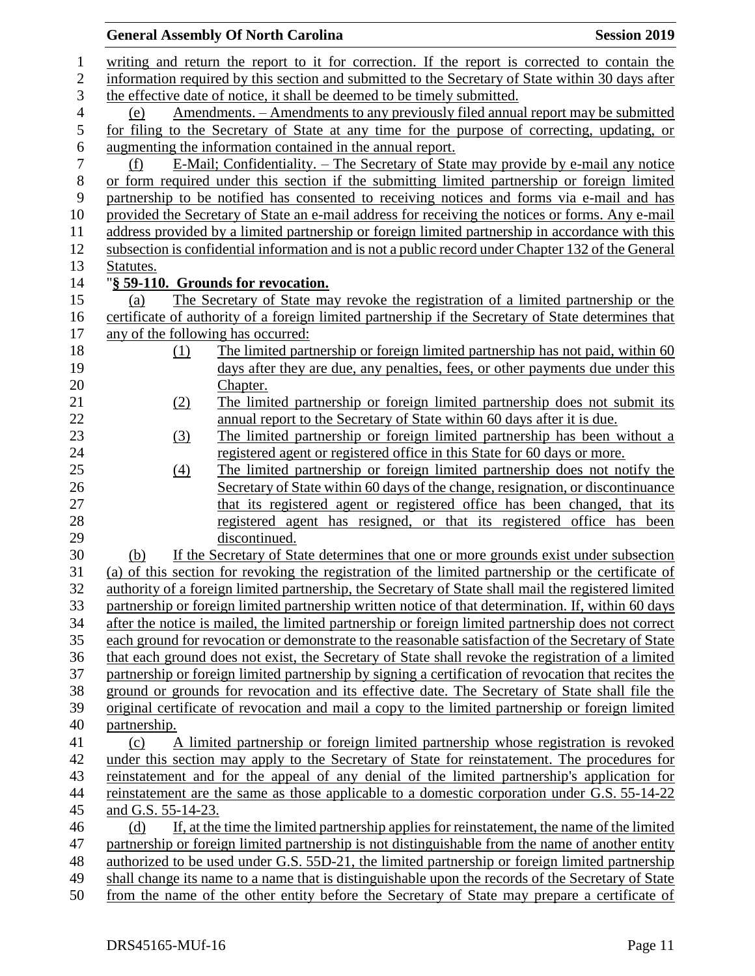|                    | <b>General Assembly Of North Carolina</b>                                                                                                          | <b>Session 2019</b> |
|--------------------|----------------------------------------------------------------------------------------------------------------------------------------------------|---------------------|
|                    | writing and return the report to it for correction. If the report is corrected to contain the                                                      |                     |
|                    | information required by this section and submitted to the Secretary of State within 30 days after                                                  |                     |
|                    | the effective date of notice, it shall be deemed to be timely submitted.                                                                           |                     |
| (e)                | Amendments. – Amendments to any previously filed annual report may be submitted                                                                    |                     |
|                    | for filing to the Secretary of State at any time for the purpose of correcting, updating, or                                                       |                     |
|                    | augmenting the information contained in the annual report.                                                                                         |                     |
| (f)                | E-Mail; Confidentiality. – The Secretary of State may provide by e-mail any notice                                                                 |                     |
|                    | or form required under this section if the submitting limited partnership or foreign limited                                                       |                     |
|                    | partnership to be notified has consented to receiving notices and forms via e-mail and has                                                         |                     |
|                    | provided the Secretary of State an e-mail address for receiving the notices or forms. Any e-mail                                                   |                     |
|                    | address provided by a limited partnership or foreign limited partnership in accordance with this                                                   |                     |
|                    | subsection is confidential information and is not a public record under Chapter 132 of the General                                                 |                     |
| Statutes.          |                                                                                                                                                    |                     |
|                    | "§ 59-110. Grounds for revocation.                                                                                                                 |                     |
| (a)                | The Secretary of State may revoke the registration of a limited partnership or the                                                                 |                     |
|                    | certificate of authority of a foreign limited partnership if the Secretary of State determines that                                                |                     |
|                    | any of the following has occurred:                                                                                                                 |                     |
| (1)                | The limited partnership or foreign limited partnership has not paid, within 60                                                                     |                     |
|                    | days after they are due, any penalties, fees, or other payments due under this                                                                     |                     |
|                    | Chapter.                                                                                                                                           |                     |
| (2)                | The limited partnership or foreign limited partnership does not submit its                                                                         |                     |
|                    | annual report to the Secretary of State within 60 days after it is due.                                                                            |                     |
| (3)                | The limited partnership or foreign limited partnership has been without a                                                                          |                     |
|                    | registered agent or registered office in this State for 60 days or more.                                                                           |                     |
| (4)                | The limited partnership or foreign limited partnership does not notify the                                                                         |                     |
|                    | Secretary of State within 60 days of the change, resignation, or discontinuance                                                                    |                     |
|                    | that its registered agent or registered office has been changed, that its<br>registered agent has resigned, or that its registered office has been |                     |
|                    | discontinued.                                                                                                                                      |                     |
| (b)                | If the Secretary of State determines that one or more grounds exist under subsection                                                               |                     |
|                    | (a) of this section for revoking the registration of the limited partnership or the certificate of                                                 |                     |
|                    | authority of a foreign limited partnership, the Secretary of State shall mail the registered limited                                               |                     |
|                    | partnership or foreign limited partnership written notice of that determination. If, within 60 days                                                |                     |
|                    | after the notice is mailed, the limited partnership or foreign limited partnership does not correct                                                |                     |
|                    | each ground for revocation or demonstrate to the reasonable satisfaction of the Secretary of State                                                 |                     |
|                    | that each ground does not exist, the Secretary of State shall revoke the registration of a limited                                                 |                     |
|                    | partnership or foreign limited partnership by signing a certification of revocation that recites the                                               |                     |
|                    | ground or grounds for revocation and its effective date. The Secretary of State shall file the                                                     |                     |
|                    | original certificate of revocation and mail a copy to the limited partnership or foreign limited                                                   |                     |
| partnership.       |                                                                                                                                                    |                     |
| (c)                | A limited partnership or foreign limited partnership whose registration is revoked                                                                 |                     |
|                    | under this section may apply to the Secretary of State for reinstatement. The procedures for                                                       |                     |
|                    | reinstatement and for the appeal of any denial of the limited partnership's application for                                                        |                     |
|                    | reinstatement are the same as those applicable to a domestic corporation under G.S. 55-14-22                                                       |                     |
| and G.S. 55-14-23. |                                                                                                                                                    |                     |
| (d)                | If, at the time the limited partnership applies for reinstatement, the name of the limited                                                         |                     |
|                    | partnership or foreign limited partnership is not distinguishable from the name of another entity                                                  |                     |
|                    | authorized to be used under G.S. 55D-21, the limited partnership or foreign limited partnership                                                    |                     |
|                    | shall change its name to a name that is distinguishable upon the records of the Secretary of State                                                 |                     |
|                    | from the name of the other entity before the Secretary of State may prepare a certificate of                                                       |                     |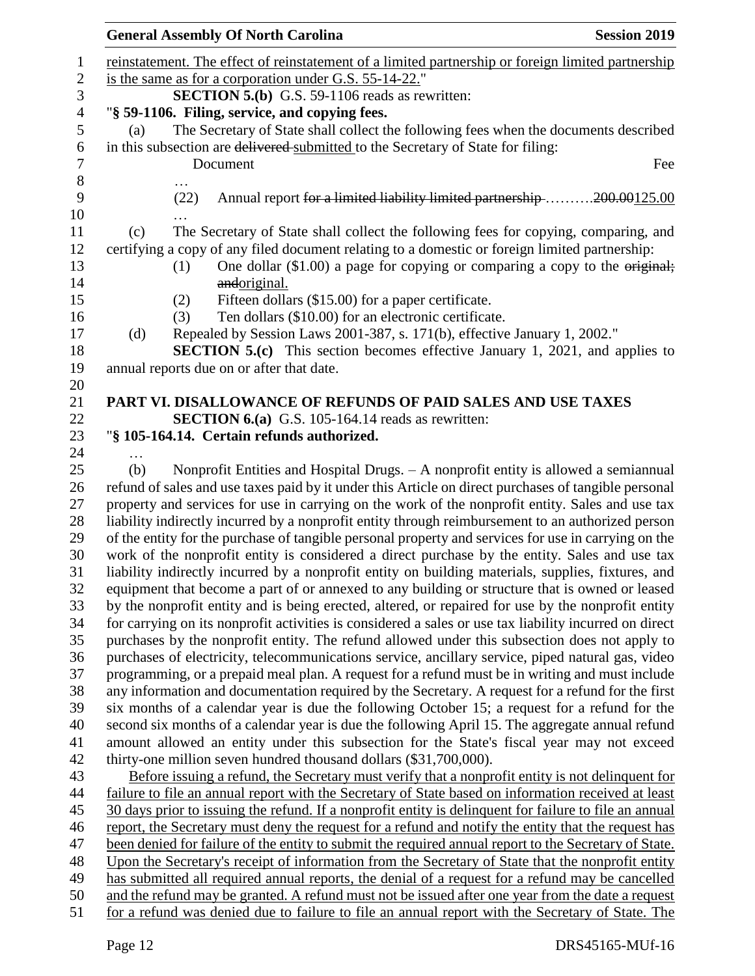|                                                                                                      | <b>General Assembly Of North Carolina</b>                                                                                                                                                          | <b>Session 2019</b> |
|------------------------------------------------------------------------------------------------------|----------------------------------------------------------------------------------------------------------------------------------------------------------------------------------------------------|---------------------|
|                                                                                                      | reinstatement. The effect of reinstatement of a limited partnership or foreign limited partnership                                                                                                 |                     |
|                                                                                                      | is the same as for a corporation under G.S. 55-14-22."                                                                                                                                             |                     |
|                                                                                                      | <b>SECTION 5.(b)</b> G.S. 59-1106 reads as rewritten:                                                                                                                                              |                     |
|                                                                                                      | "§ 59-1106. Filing, service, and copying fees.                                                                                                                                                     |                     |
| (a)                                                                                                  | The Secretary of State shall collect the following fees when the documents described                                                                                                               |                     |
|                                                                                                      | in this subsection are delivered submitted to the Secretary of State for filing:                                                                                                                   |                     |
|                                                                                                      | Document                                                                                                                                                                                           | Fee                 |
|                                                                                                      |                                                                                                                                                                                                    |                     |
|                                                                                                      | Annual report for a limited liability limited partnership 200.00125.00<br>(22)                                                                                                                     |                     |
|                                                                                                      |                                                                                                                                                                                                    |                     |
| (c)                                                                                                  | The Secretary of State shall collect the following fees for copying, comparing, and                                                                                                                |                     |
|                                                                                                      | certifying a copy of any filed document relating to a domestic or foreign limited partnership:                                                                                                     |                     |
|                                                                                                      | One dollar $(\$1.00)$ a page for copying or comparing a copy to the original;<br>(1)                                                                                                               |                     |
|                                                                                                      | andoriginal.                                                                                                                                                                                       |                     |
|                                                                                                      | Fifteen dollars (\$15.00) for a paper certificate.<br>(2)                                                                                                                                          |                     |
|                                                                                                      | Ten dollars (\$10.00) for an electronic certificate.<br>(3)                                                                                                                                        |                     |
| (d)                                                                                                  | Repealed by Session Laws 2001-387, s. 171(b), effective January 1, 2002."                                                                                                                          |                     |
|                                                                                                      | <b>SECTION 5.(c)</b> This section becomes effective January 1, 2021, and applies to<br>annual reports due on or after that date.                                                                   |                     |
|                                                                                                      |                                                                                                                                                                                                    |                     |
|                                                                                                      | PART VI. DISALLOWANCE OF REFUNDS OF PAID SALES AND USE TAXES                                                                                                                                       |                     |
|                                                                                                      | <b>SECTION 6.(a)</b> G.S. 105-164.14 reads as rewritten:                                                                                                                                           |                     |
|                                                                                                      | "§ 105-164.14. Certain refunds authorized.                                                                                                                                                         |                     |
| .                                                                                                    |                                                                                                                                                                                                    |                     |
| (b)                                                                                                  | Nonprofit Entities and Hospital Drugs. - A nonprofit entity is allowed a semiannual                                                                                                                |                     |
|                                                                                                      | refund of sales and use taxes paid by it under this Article on direct purchases of tangible personal                                                                                               |                     |
|                                                                                                      | property and services for use in carrying on the work of the nonprofit entity. Sales and use tax                                                                                                   |                     |
| liability indirectly incurred by a nonprofit entity through reimbursement to an authorized person    |                                                                                                                                                                                                    |                     |
| of the entity for the purchase of tangible personal property and services for use in carrying on the |                                                                                                                                                                                                    |                     |
|                                                                                                      | work of the nonprofit entity is considered a direct purchase by the entity. Sales and use tax                                                                                                      |                     |
|                                                                                                      | liability indirectly incurred by a nonprofit entity on building materials, supplies, fixtures, and                                                                                                 |                     |
|                                                                                                      | equipment that become a part of or annexed to any building or structure that is owned or leased                                                                                                    |                     |
|                                                                                                      | by the nonprofit entity and is being erected, altered, or repaired for use by the nonprofit entity                                                                                                 |                     |
|                                                                                                      | for carrying on its nonprofit activities is considered a sales or use tax liability incurred on direct                                                                                             |                     |
|                                                                                                      | purchases by the nonprofit entity. The refund allowed under this subsection does not apply to<br>purchases of electricity, telecommunications service, ancillary service, piped natural gas, video |                     |
|                                                                                                      | programming, or a prepaid meal plan. A request for a refund must be in writing and must include                                                                                                    |                     |
|                                                                                                      | any information and documentation required by the Secretary. A request for a refund for the first                                                                                                  |                     |
|                                                                                                      | six months of a calendar year is due the following October 15; a request for a refund for the                                                                                                      |                     |
|                                                                                                      | second six months of a calendar year is due the following April 15. The aggregate annual refund                                                                                                    |                     |
|                                                                                                      | amount allowed an entity under this subsection for the State's fiscal year may not exceed                                                                                                          |                     |
|                                                                                                      | thirty-one million seven hundred thousand dollars (\$31,700,000).                                                                                                                                  |                     |
|                                                                                                      | Before issuing a refund, the Secretary must verify that a nonprofit entity is not delinquent for                                                                                                   |                     |
|                                                                                                      | failure to file an annual report with the Secretary of State based on information received at least                                                                                                |                     |
|                                                                                                      | 30 days prior to issuing the refund. If a nonprofit entity is delinquent for failure to file an annual                                                                                             |                     |
|                                                                                                      | report, the Secretary must deny the request for a refund and notify the entity that the request has                                                                                                |                     |
|                                                                                                      | been denied for failure of the entity to submit the required annual report to the Secretary of State.                                                                                              |                     |
|                                                                                                      | Upon the Secretary's receipt of information from the Secretary of State that the nonprofit entity                                                                                                  |                     |
|                                                                                                      | has submitted all required annual reports, the denial of a request for a refund may be cancelled                                                                                                   |                     |
|                                                                                                      | and the refund may be granted. A refund must not be issued after one year from the date a request                                                                                                  |                     |
|                                                                                                      | for a refund was denied due to failure to file an annual report with the Secretary of State. The                                                                                                   |                     |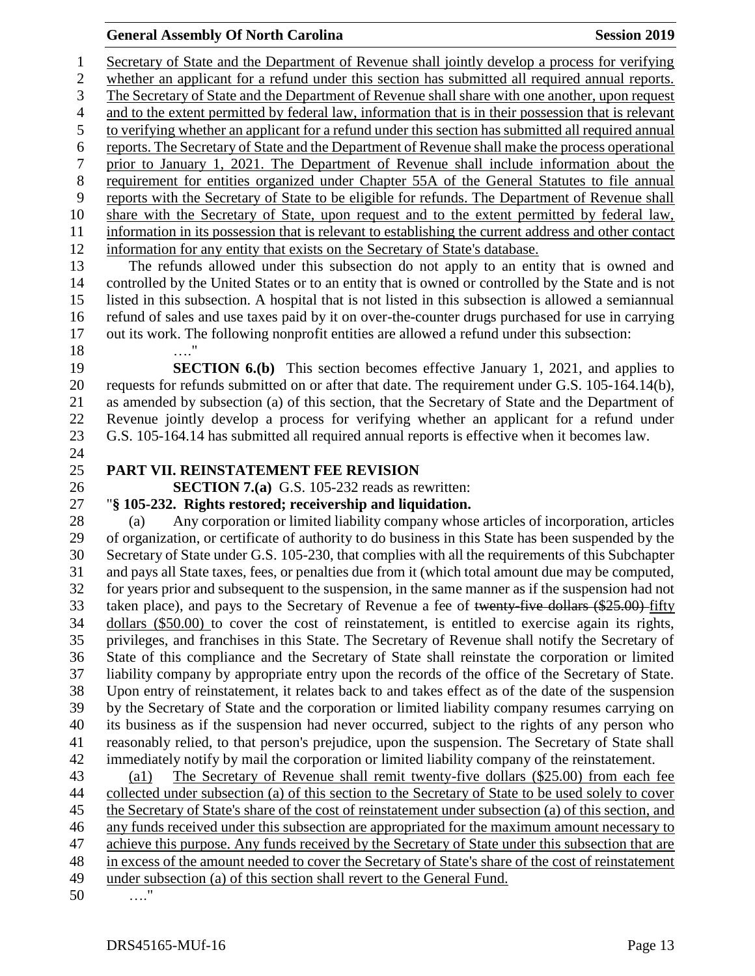### **General Assembly Of North Carolina Session 2019 Session 2019**

 Secretary of State and the Department of Revenue shall jointly develop a process for verifying whether an applicant for a refund under this section has submitted all required annual reports. The Secretary of State and the Department of Revenue shall share with one another, upon request and to the extent permitted by federal law, information that is in their possession that is relevant to verifying whether an applicant for a refund under this section has submitted all required annual reports. The Secretary of State and the Department of Revenue shall make the process operational prior to January 1, 2021. The Department of Revenue shall include information about the requirement for entities organized under Chapter 55A of the General Statutes to file annual reports with the Secretary of State to be eligible for refunds. The Department of Revenue shall share with the Secretary of State, upon request and to the extent permitted by federal law, information in its possession that is relevant to establishing the current address and other contact information for any entity that exists on the Secretary of State's database.

 The refunds allowed under this subsection do not apply to an entity that is owned and controlled by the United States or to an entity that is owned or controlled by the State and is not listed in this subsection. A hospital that is not listed in this subsection is allowed a semiannual refund of sales and use taxes paid by it on over-the-counter drugs purchased for use in carrying out its work. The following nonprofit entities are allowed a refund under this subsection:

…."

 **SECTION 6.(b)** This section becomes effective January 1, 2021, and applies to requests for refunds submitted on or after that date. The requirement under G.S. 105-164.14(b), as amended by subsection (a) of this section, that the Secretary of State and the Department of Revenue jointly develop a process for verifying whether an applicant for a refund under G.S. 105-164.14 has submitted all required annual reports is effective when it becomes law.

### **PART VII. REINSTATEMENT FEE REVISION**

**SECTION 7.(a)** G.S. 105-232 reads as rewritten:

### "**§ 105-232. Rights restored; receivership and liquidation.**

 (a) Any corporation or limited liability company whose articles of incorporation, articles of organization, or certificate of authority to do business in this State has been suspended by the Secretary of State under G.S. 105-230, that complies with all the requirements of this Subchapter and pays all State taxes, fees, or penalties due from it (which total amount due may be computed, for years prior and subsequent to the suspension, in the same manner as if the suspension had not 33 taken place), and pays to the Secretary of Revenue a fee of twenty-five dollars (\$25.00) fifty dollars (\$50.00) to cover the cost of reinstatement, is entitled to exercise again its rights, privileges, and franchises in this State. The Secretary of Revenue shall notify the Secretary of State of this compliance and the Secretary of State shall reinstate the corporation or limited liability company by appropriate entry upon the records of the office of the Secretary of State. Upon entry of reinstatement, it relates back to and takes effect as of the date of the suspension by the Secretary of State and the corporation or limited liability company resumes carrying on its business as if the suspension had never occurred, subject to the rights of any person who reasonably relied, to that person's prejudice, upon the suspension. The Secretary of State shall immediately notify by mail the corporation or limited liability company of the reinstatement.

| 43 | The Secretary of Revenue shall remit twenty-five dollars (\$25.00) from each fee<br>(a)               |
|----|-------------------------------------------------------------------------------------------------------|
| 44 | collected under subsection (a) of this section to the Secretary of State to be used solely to cover   |
| 45 | the Secretary of State's share of the cost of reinstatement under subsection (a) of this section, and |
| 46 | any funds received under this subsection are appropriated for the maximum amount necessary to         |
| 47 | achieve this purpose. Any funds received by the Secretary of State under this subsection that are     |
| 48 | in excess of the amount needed to cover the Secretary of State's share of the cost of reinstatement   |
| 49 | under subsection (a) of this section shall revert to the General Fund.                                |
| 50 | "<br>$\cdots$                                                                                         |

DRS45165-MUf-16 Page 13